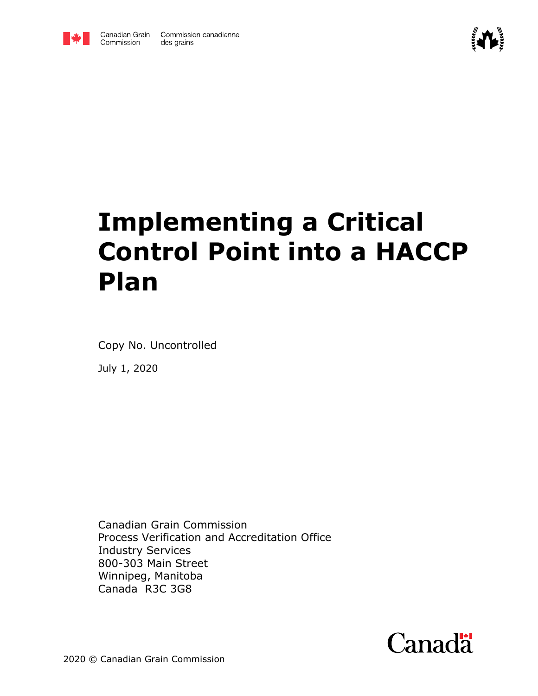



# **Implementing a Critical Control Point into a HACCP Plan**

Copy No. Uncontrolled

July 1, 2020

Canadian Grain Commission Process Verification and Accreditation Office Industry Services 800-303 Main Street Winnipeg, Manitoba Canada R3C 3G8

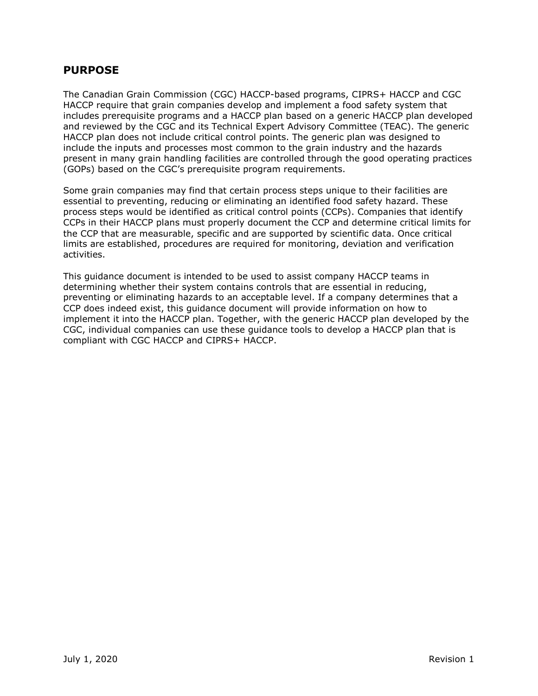#### **PURPOSE**

The Canadian Grain Commission (CGC) HACCP-based programs, CIPRS+ HACCP and CGC HACCP require that grain companies develop and implement a food safety system that includes prerequisite programs and a HACCP plan based on a generic HACCP plan developed and reviewed by the CGC and its Technical Expert Advisory Committee (TEAC). The generic HACCP plan does not include critical control points. The generic plan was designed to include the inputs and processes most common to the grain industry and the hazards present in many grain handling facilities are controlled through the good operating practices (GOPs) based on the CGC's prerequisite program requirements.

Some grain companies may find that certain process steps unique to their facilities are essential to preventing, reducing or eliminating an identified food safety hazard. These process steps would be identified as critical control points (CCPs). Companies that identify CCPs in their HACCP plans must properly document the CCP and determine critical limits for the CCP that are measurable, specific and are supported by scientific data. Once critical limits are established, procedures are required for monitoring, deviation and verification activities.

This guidance document is intended to be used to assist company HACCP teams in determining whether their system contains controls that are essential in reducing, preventing or eliminating hazards to an acceptable level. If a company determines that a CCP does indeed exist, this guidance document will provide information on how to implement it into the HACCP plan. Together, with the generic HACCP plan developed by the CGC, individual companies can use these guidance tools to develop a HACCP plan that is compliant with CGC HACCP and CIPRS+ HACCP.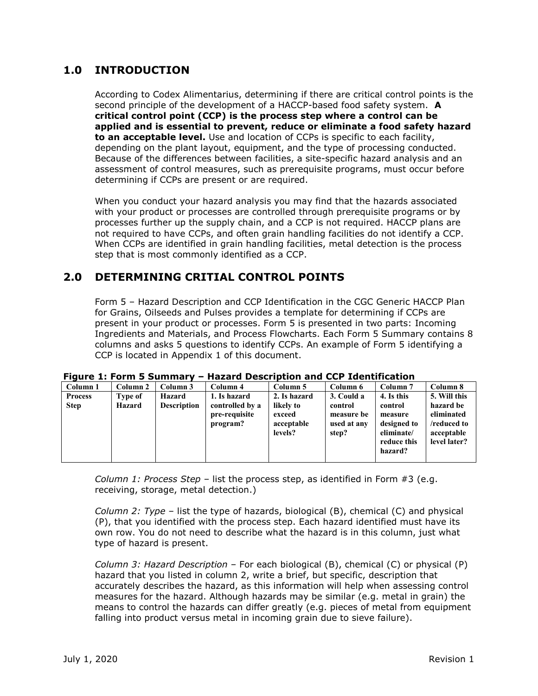# **1.0 INTRODUCTION**

According to Codex Alimentarius, determining if there are critical control points is the second principle of the development of a HACCP-based food safety system. **A critical control point (CCP) is the process step where a control can be applied and is essential to prevent, reduce or eliminate a food safety hazard to an acceptable level.** Use and location of CCPs is specific to each facility, depending on the plant layout, equipment, and the type of processing conducted. Because of the differences between facilities, a site-specific hazard analysis and an assessment of control measures, such as prerequisite programs, must occur before determining if CCPs are present or are required.

When you conduct your hazard analysis you may find that the hazards associated with your product or processes are controlled through prerequisite programs or by processes further up the supply chain, and a CCP is not required. HACCP plans are not required to have CCPs, and often grain handling facilities do not identify a CCP. When CCPs are identified in grain handling facilities, metal detection is the process step that is most commonly identified as a CCP.

#### **2.0 DETERMINING CRITIAL CONTROL POINTS**

Form 5 – Hazard Description and CCP Identification in the CGC Generic HACCP Plan for Grains, Oilseeds and Pulses provides a template for determining if CCPs are present in your product or processes. Form 5 is presented in two parts: Incoming Ingredients and Materials, and Process Flowcharts. Each Form 5 Summary contains 8 columns and asks 5 questions to identify CCPs. An example of Form 5 identifying a CCP is located in Appendix 1 of this document.

| Column 1                      | Column 2          | Column 3                     | Column 4                        | Column 5                  | Column 6                  | Column <sub>7</sub>    | Column 8                  |
|-------------------------------|-------------------|------------------------------|---------------------------------|---------------------------|---------------------------|------------------------|---------------------------|
| <b>Process</b><br><b>Step</b> | Type of<br>Hazard | Hazard<br><b>Description</b> | 1. Is hazard<br>controlled by a | 2. Is hazard<br>likely to | 3. Could a<br>control     | 4. Is this<br>control  | 5. Will this<br>hazard be |
|                               |                   |                              | pre-requisite<br>program?       | exceed<br>acceptable      | measure be<br>used at any | measure<br>designed to | eliminated<br>/reduced to |
|                               |                   |                              |                                 | levels?                   | step?                     | eliminate/             | acceptable                |
|                               |                   |                              |                                 |                           |                           | reduce this            | level later?              |
|                               |                   |                              |                                 |                           |                           | hazard?                |                           |
|                               |                   |                              |                                 |                           |                           |                        |                           |

| Figure 1: Form 5 Summary - Hazard Description and CCP Identification |  |  |
|----------------------------------------------------------------------|--|--|
|----------------------------------------------------------------------|--|--|

*Column 1: Process Step* – list the process step, as identified in Form #3 (e.g. receiving, storage, metal detection.)

*Column 2: Type –* list the type of hazards, biological (B), chemical (C) and physical (P), that you identified with the process step. Each hazard identified must have its own row. You do not need to describe what the hazard is in this column, just what type of hazard is present.

*Column 3: Hazard Description –* For each biological (B), chemical (C) or physical (P) hazard that you listed in column 2, write a brief, but specific, description that accurately describes the hazard, as this information will help when assessing control measures for the hazard. Although hazards may be similar (e.g. metal in grain) the means to control the hazards can differ greatly (e.g. pieces of metal from equipment falling into product versus metal in incoming grain due to sieve failure).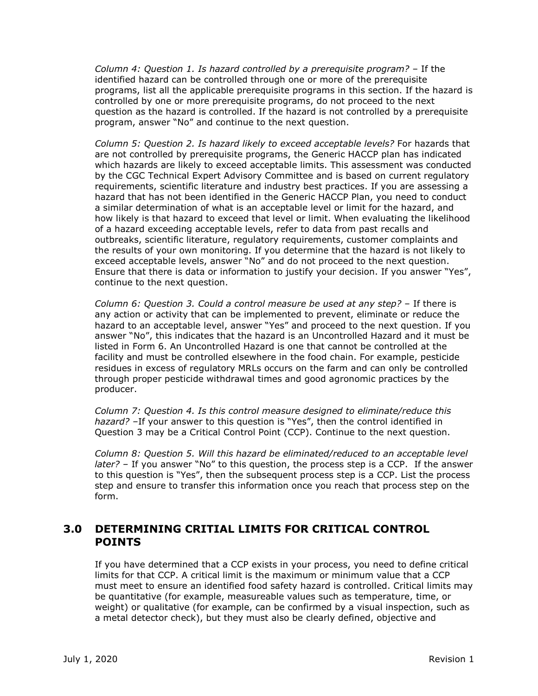*Column 4: Question 1. Is hazard controlled by a prerequisite program?* – If the identified hazard can be controlled through one or more of the prerequisite programs, list all the applicable prerequisite programs in this section. If the hazard is controlled by one or more prerequisite programs, do not proceed to the next question as the hazard is controlled. If the hazard is not controlled by a prerequisite program, answer "No" and continue to the next question.

*Column 5: Question 2. Is hazard likely to exceed acceptable levels?* For hazards that are not controlled by prerequisite programs, the Generic HACCP plan has indicated which hazards are likely to exceed acceptable limits. This assessment was conducted by the CGC Technical Expert Advisory Committee and is based on current regulatory requirements, scientific literature and industry best practices. If you are assessing a hazard that has not been identified in the Generic HACCP Plan, you need to conduct a similar determination of what is an acceptable level or limit for the hazard, and how likely is that hazard to exceed that level or limit. When evaluating the likelihood of a hazard exceeding acceptable levels, refer to data from past recalls and outbreaks, scientific literature, regulatory requirements, customer complaints and the results of your own monitoring. If you determine that the hazard is not likely to exceed acceptable levels, answer "No" and do not proceed to the next question. Ensure that there is data or information to justify your decision. If you answer "Yes", continue to the next question.

*Column 6: Question 3. Could a control measure be used at any step?* – If there is any action or activity that can be implemented to prevent, eliminate or reduce the hazard to an acceptable level, answer "Yes" and proceed to the next question. If you answer "No", this indicates that the hazard is an Uncontrolled Hazard and it must be listed in Form 6. An Uncontrolled Hazard is one that cannot be controlled at the facility and must be controlled elsewhere in the food chain. For example, pesticide residues in excess of regulatory MRLs occurs on the farm and can only be controlled through proper pesticide withdrawal times and good agronomic practices by the producer.

*Column 7: Question 4. Is this control measure designed to eliminate/reduce this hazard? –*If your answer to this question is "Yes", then the control identified in Question 3 may be a Critical Control Point (CCP). Continue to the next question.

*Column 8: Question 5. Will this hazard be eliminated/reduced to an acceptable level later? –* If you answer "No" to this question, the process step is a CCP. If the answer to this question is "Yes", then the subsequent process step is a CCP. List the process step and ensure to transfer this information once you reach that process step on the form.

#### **3.0 DETERMINING CRITIAL LIMITS FOR CRITICAL CONTROL POINTS**

If you have determined that a CCP exists in your process, you need to define critical limits for that CCP. A critical limit is the maximum or minimum value that a CCP must meet to ensure an identified food safety hazard is controlled. Critical limits may be quantitative (for example, measureable values such as temperature, time, or weight) or qualitative (for example, can be confirmed by a visual inspection, such as a metal detector check), but they must also be clearly defined, objective and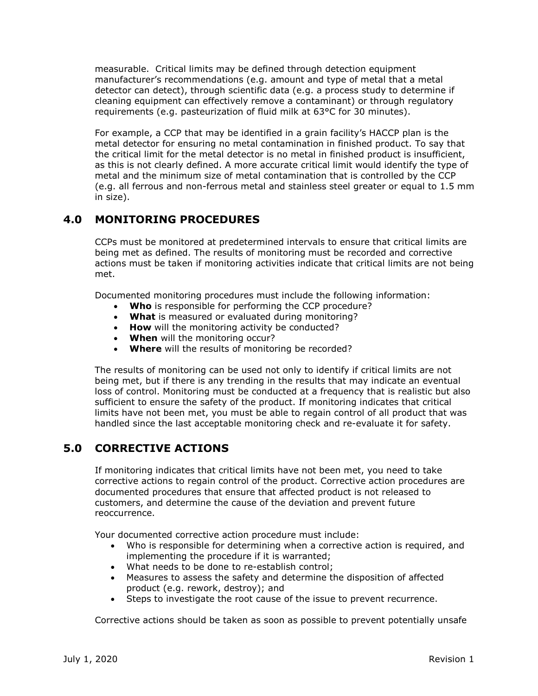measurable. Critical limits may be defined through detection equipment manufacturer's recommendations (e.g. amount and type of metal that a metal detector can detect), through scientific data (e.g. a process study to determine if cleaning equipment can effectively remove a contaminant) or through regulatory requirements (e.g. pasteurization of fluid milk at 63°C for 30 minutes).

For example, a CCP that may be identified in a grain facility's HACCP plan is the metal detector for ensuring no metal contamination in finished product. To say that the critical limit for the metal detector is no metal in finished product is insufficient, as this is not clearly defined. A more accurate critical limit would identify the type of metal and the minimum size of metal contamination that is controlled by the CCP (e.g. all ferrous and non-ferrous metal and stainless steel greater or equal to 1.5 mm in size).

# **4.0 MONITORING PROCEDURES**

CCPs must be monitored at predetermined intervals to ensure that critical limits are being met as defined. The results of monitoring must be recorded and corrective actions must be taken if monitoring activities indicate that critical limits are not being met.

Documented monitoring procedures must include the following information:

- **Who** is responsible for performing the CCP procedure?
- **What** is measured or evaluated during monitoring?
- **How** will the monitoring activity be conducted?
- **When** will the monitoring occur?
- **Where** will the results of monitoring be recorded?

The results of monitoring can be used not only to identify if critical limits are not being met, but if there is any trending in the results that may indicate an eventual loss of control. Monitoring must be conducted at a frequency that is realistic but also sufficient to ensure the safety of the product. If monitoring indicates that critical limits have not been met, you must be able to regain control of all product that was handled since the last acceptable monitoring check and re-evaluate it for safety.

#### **5.0 CORRECTIVE ACTIONS**

If monitoring indicates that critical limits have not been met, you need to take corrective actions to regain control of the product. Corrective action procedures are documented procedures that ensure that affected product is not released to customers, and determine the cause of the deviation and prevent future reoccurrence.

Your documented corrective action procedure must include:

- Who is responsible for determining when a corrective action is required, and implementing the procedure if it is warranted;
- What needs to be done to re-establish control;
- Measures to assess the safety and determine the disposition of affected product (e.g. rework, destroy); and
- Steps to investigate the root cause of the issue to prevent recurrence.

Corrective actions should be taken as soon as possible to prevent potentially unsafe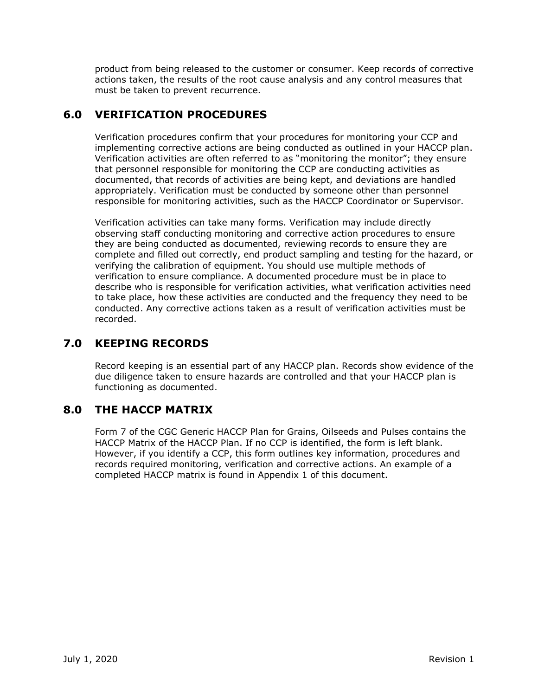product from being released to the customer or consumer. Keep records of corrective actions taken, the results of the root cause analysis and any control measures that must be taken to prevent recurrence.

### **6.0 VERIFICATION PROCEDURES**

Verification procedures confirm that your procedures for monitoring your CCP and implementing corrective actions are being conducted as outlined in your HACCP plan. Verification activities are often referred to as "monitoring the monitor"; they ensure that personnel responsible for monitoring the CCP are conducting activities as documented, that records of activities are being kept, and deviations are handled appropriately. Verification must be conducted by someone other than personnel responsible for monitoring activities, such as the HACCP Coordinator or Supervisor.

Verification activities can take many forms. Verification may include directly observing staff conducting monitoring and corrective action procedures to ensure they are being conducted as documented, reviewing records to ensure they are complete and filled out correctly, end product sampling and testing for the hazard, or verifying the calibration of equipment. You should use multiple methods of verification to ensure compliance. A documented procedure must be in place to describe who is responsible for verification activities, what verification activities need to take place, how these activities are conducted and the frequency they need to be conducted. Any corrective actions taken as a result of verification activities must be recorded.

# **7.0 KEEPING RECORDS**

Record keeping is an essential part of any HACCP plan. Records show evidence of the due diligence taken to ensure hazards are controlled and that your HACCP plan is functioning as documented.

# **8.0 THE HACCP MATRIX**

Form 7 of the CGC Generic HACCP Plan for Grains, Oilseeds and Pulses contains the HACCP Matrix of the HACCP Plan. If no CCP is identified, the form is left blank. However, if you identify a CCP, this form outlines key information, procedures and records required monitoring, verification and corrective actions. An example of a completed HACCP matrix is found in Appendix 1 of this document.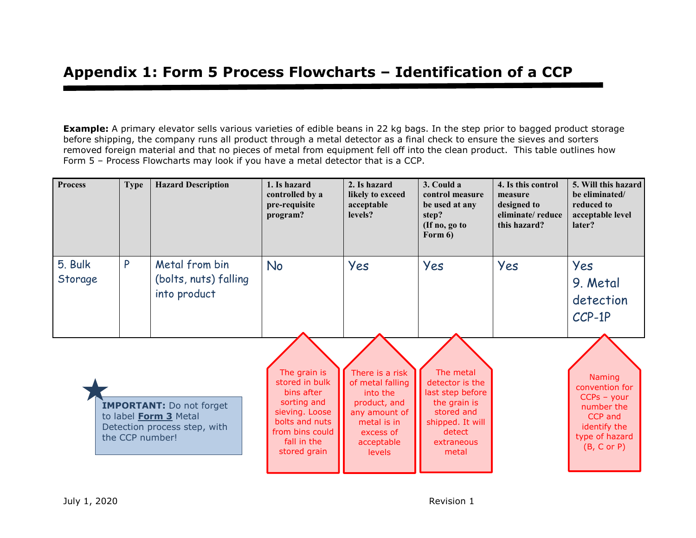**Example:** A primary elevator sells various varieties of edible beans in 22 kg bags. In the step prior to bagged product storage before shipping, the company runs all product through a metal detector as a final check to ensure the sieves and sorters removed foreign material and that no pieces of metal from equipment fell off into the clean product. This table outlines how Form 5 – Process Flowcharts may look if you have a metal detector that is a CCP.

| <b>Process</b>                                                                                                     | <b>Type</b> | <b>Hazard Description</b>                                                                                                                         | 1. Is hazard<br>controlled by a<br>pre-requisite<br>program?                                                                                | 2. Is hazard<br>likely to exceed<br>acceptable<br>levels?                                                                           | 3. Could a<br>control measure<br>be used at any<br>step?<br>(If no, go to<br>Form $6)$ | 4. Is this control<br>measure<br>designed to<br>eliminate/reduce<br>this hazard?                                           | 5. Will this hazard<br>be eliminated/<br>reduced to<br>acceptable level<br>later? |
|--------------------------------------------------------------------------------------------------------------------|-------------|---------------------------------------------------------------------------------------------------------------------------------------------------|---------------------------------------------------------------------------------------------------------------------------------------------|-------------------------------------------------------------------------------------------------------------------------------------|----------------------------------------------------------------------------------------|----------------------------------------------------------------------------------------------------------------------------|-----------------------------------------------------------------------------------|
| 5. Bulk<br>Storage                                                                                                 | P           | Metal from bin<br>(bolts, nuts) falling<br>into product                                                                                           | <b>No</b>                                                                                                                                   | Yes                                                                                                                                 | Yes                                                                                    | Yes                                                                                                                        | Yes<br>9. Metal<br>detection<br>$CCP-1P$                                          |
| <b>IMPORTANT:</b> Do not forget<br>to label <b>Form 3</b> Metal<br>Detection process step, with<br>the CCP number! |             | The grain is<br>stored in bulk<br>bins after<br>sorting and<br>sieving. Loose<br>bolts and nuts<br>from bins could<br>fall in the<br>stored grain | There is a risk<br>of metal falling<br>into the<br>product, and<br>any amount of<br>metal is in<br>excess of<br>acceptable<br><b>levels</b> | The metal<br>detector is the<br>last step before<br>the grain is<br>stored and<br>shipped. It will<br>detect<br>extraneous<br>metal |                                                                                        | <b>Naming</b><br>convention for<br>$CCPs - your$<br>number the<br>CCP and<br>identify the<br>type of hazard<br>(B, C or P) |                                                                                   |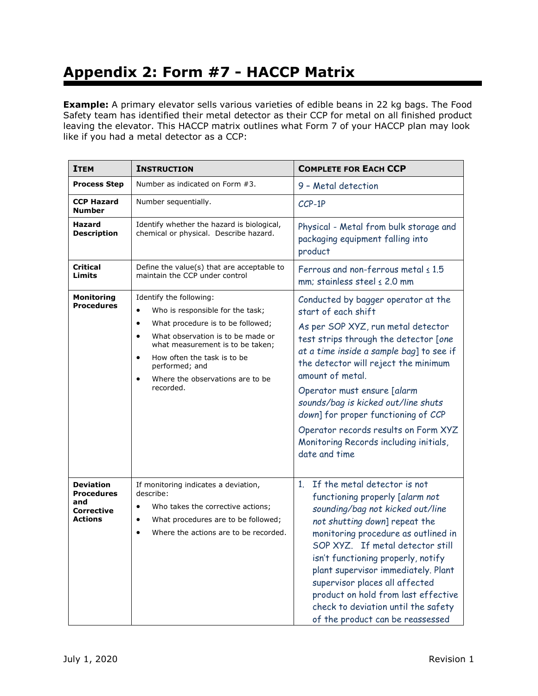# **Appendix 2: Form #7 - HACCP Matrix**

**Example:** A primary elevator sells various varieties of edible beans in 22 kg bags. The Food Safety team has identified their metal detector as their CCP for metal on all finished product leaving the elevator. This HACCP matrix outlines what Form 7 of your HACCP plan may look like if you had a metal detector as a CCP:

| <b>ITEM</b>                                                    | <b>INSTRUCTION</b>                                                                                                                                                                                                                                                                                                                           | <b>COMPLETE FOR EACH CCP</b>                                                                                                                                                                                                                                                                                                                                                                                                                                      |  |  |
|----------------------------------------------------------------|----------------------------------------------------------------------------------------------------------------------------------------------------------------------------------------------------------------------------------------------------------------------------------------------------------------------------------------------|-------------------------------------------------------------------------------------------------------------------------------------------------------------------------------------------------------------------------------------------------------------------------------------------------------------------------------------------------------------------------------------------------------------------------------------------------------------------|--|--|
| <b>Process Step</b>                                            | Number as indicated on Form #3.                                                                                                                                                                                                                                                                                                              | 9 - Metal detection                                                                                                                                                                                                                                                                                                                                                                                                                                               |  |  |
| <b>CCP Hazard</b><br>Number                                    | Number sequentially.                                                                                                                                                                                                                                                                                                                         | CCP-1P                                                                                                                                                                                                                                                                                                                                                                                                                                                            |  |  |
| <b>Hazard</b><br><b>Description</b>                            | Identify whether the hazard is biological,<br>chemical or physical. Describe hazard.                                                                                                                                                                                                                                                         | Physical - Metal from bulk storage and<br>packaging equipment falling into<br>product                                                                                                                                                                                                                                                                                                                                                                             |  |  |
| <b>Critical</b><br>Limits                                      | Define the value(s) that are acceptable to<br>maintain the CCP under control                                                                                                                                                                                                                                                                 | Ferrous and non-ferrous metal $\leq 1.5$<br>mm: stainless steel $\leq$ 2.0 mm                                                                                                                                                                                                                                                                                                                                                                                     |  |  |
| <b>Monitoring</b><br><b>Procedures</b>                         | Identify the following:<br>Who is responsible for the task;<br>$\bullet$<br>What procedure is to be followed;<br>$\bullet$<br>What observation is to be made or<br>$\bullet$<br>what measurement is to be taken;<br>How often the task is to be<br>$\bullet$<br>performed; and<br>Where the observations are to be<br>$\bullet$<br>recorded. | Conducted by bagger operator at the<br>start of each shift<br>As per SOP XYZ, run metal detector<br>test strips through the detector [one<br>at a time inside a sample bag] to see if<br>the detector will reject the minimum<br>amount of metal.<br>Operator must ensure [alarm<br>sounds/bag is kicked out/line shuts<br>down] for proper functioning of CCP<br>Operator records results on Form XYZ<br>Monitoring Records including initials,<br>date and time |  |  |
| <b>Deviation</b><br>Procedures<br>and<br>Corrective<br>Actions | If monitoring indicates a deviation,<br>describe:<br>Who takes the corrective actions;<br>What procedures are to be followed;<br>$\bullet$<br>Where the actions are to be recorded.<br>$\bullet$                                                                                                                                             | 1. If the metal detector is not<br>functioning properly [alarm not<br>sounding/bag not kicked out/line<br>not shutting down] repeat the<br>monitoring procedure as outlined in<br>SOP XYZ. If metal detector still<br>isn't functioning properly, notify<br>plant supervisor immediately. Plant<br>supervisor places all affected<br>product on hold from last effective<br>check to deviation until the safety<br>of the product can be reassessed               |  |  |